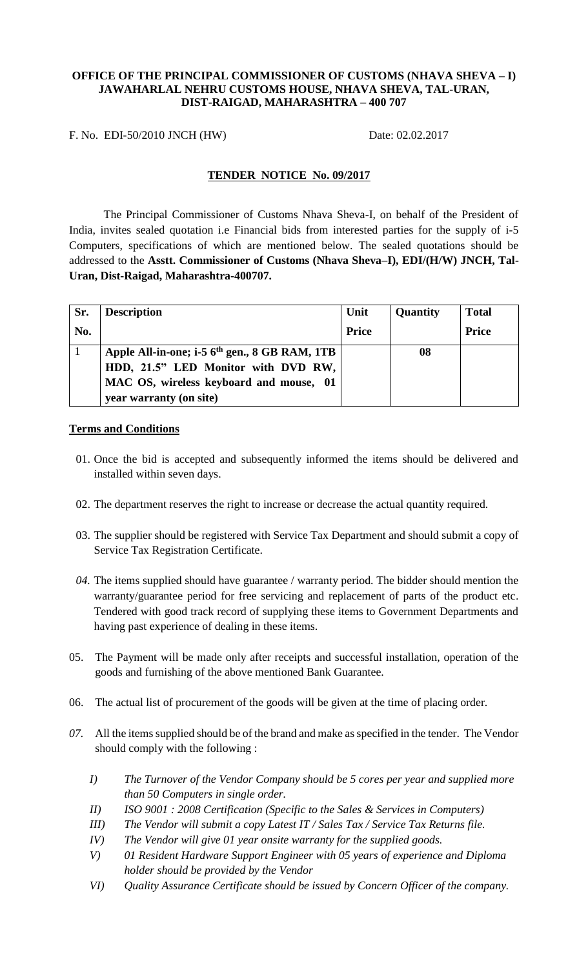## **OFFICE OF THE PRINCIPAL COMMISSIONER OF CUSTOMS (NHAVA SHEVA – I) JAWAHARLAL NEHRU CUSTOMS HOUSE, NHAVA SHEVA, TAL-URAN, DIST-RAIGAD, MAHARASHTRA – 400 707**

F. No. EDI-50/2010 JNCH (HW) Date: 02.02.2017

### **TENDER NOTICE No. 09/2017**

The Principal Commissioner of Customs Nhava Sheva-I, on behalf of the President of India, invites sealed quotation i.e Financial bids from interested parties for the supply of i-5 Computers, specifications of which are mentioned below. The sealed quotations should be addressed to the **Asstt. Commissioner of Customs (Nhava Sheva–I), EDI/(H/W) JNCH, Tal-Uran, Dist-Raigad, Maharashtra-400707.**

| Sr. | <b>Description</b>                                        | Unit         | Quantity | <b>Total</b> |
|-----|-----------------------------------------------------------|--------------|----------|--------------|
| No. |                                                           | <b>Price</b> |          | <b>Price</b> |
|     | Apple All-in-one; i-5 6 <sup>th</sup> gen., 8 GB RAM, 1TB |              | 08       |              |
|     | HDD, 21.5" LED Monitor with DVD RW,                       |              |          |              |
|     | MAC OS, wireless keyboard and mouse, 01                   |              |          |              |
|     | year warranty (on site)                                   |              |          |              |

### **Terms and Conditions**

- 01. Once the bid is accepted and subsequently informed the items should be delivered and installed within seven days.
- 02. The department reserves the right to increase or decrease the actual quantity required.
- 03. The supplier should be registered with Service Tax Department and should submit a copy of Service Tax Registration Certificate.
- *04.* The items supplied should have guarantee / warranty period. The bidder should mention the warranty/guarantee period for free servicing and replacement of parts of the product etc. Tendered with good track record of supplying these items to Government Departments and having past experience of dealing in these items.
- 05. The Payment will be made only after receipts and successful installation, operation of the goods and furnishing of the above mentioned Bank Guarantee.
- 06. The actual list of procurement of the goods will be given at the time of placing order.
- *07.* All the items supplied should be of the brand and make as specified in the tender. The Vendor should comply with the following :
	- *I) The Turnover of the Vendor Company should be 5 cores per year and supplied more than 50 Computers in single order.*
	- *II) ISO 9001 : 2008 Certification (Specific to the Sales & Services in Computers)*
	- *III) The Vendor will submit a copy Latest IT / Sales Tax / Service Tax Returns file.*
	- *IV) The Vendor will give 01 year onsite warranty for the supplied goods.*
	- *V) 01 Resident Hardware Support Engineer with 05 years of experience and Diploma holder should be provided by the Vendor*
	- *VI) Quality Assurance Certificate should be issued by Concern Officer of the company.*